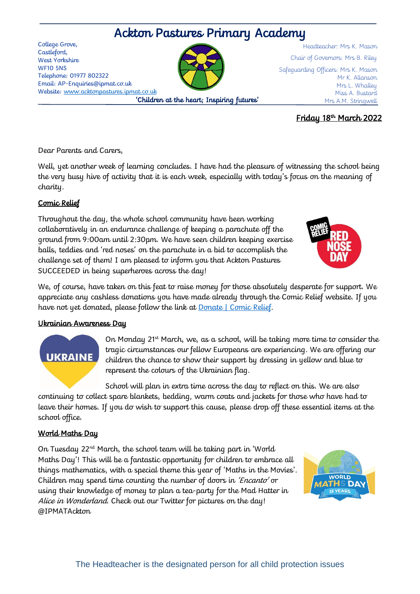# Ackton Pastures Primary Academy

College Grove, Castleford, West Yorkshire WF10 5NS Telephone: 01977 802322 Email: AP-Enquiries@ipmat.co.uk Website: [www.acktonpastures.ipmat.co.uk](http://www.acktonpastures.ipmat.co.uk/) 'Children at the heart; Inspiring futures'

Headteacher: Mrs K. Mason Chair of Governors: Mrs B. Riley Safeguarding Officers: Mrs K. Mason Mr K. Allanson Mrs L. Whalley Miss A. Bustard Mrs A.M. Stringwell

## Friday 18th March 2022

Dear Parents and Carers,

Well, yet another week of learning concludes. I have had the pleasure of witnessing the school being the very busy hive of activity that it is each week, especially with today's focus on the meaning of charity.

## Comic Relief

Throughout the day, the whole school community have been working collaboratively in an endurance challenge of keeping a parachute off the ground from 9:00am until 2:30pm. We have seen children keeping exercise balls, teddies and 'red noses' on the parachute in a bid to accomplish the challenge set of them! I am pleased to inform you that Ackton Pastures SUCCEEDED in being superheroes across the day!

We, of course, have taken on this feat to raise money for those absolutely desperate for support. We appreciate any cashless donations you have made already through the Comic Relief website. If you have not yet donated, please follow the link at [Donate | Comic Relief.](https://donation.comicrelief.com/)

### Ukrainian Awareness Day

On Monday 21<sup>st</sup> March, we, as a school, will be taking more time to consider the tragic circumstances our fellow Europeans are experiencing. We are offering our children the chance to show their support by dressing in yellow and blue to represent the colours of the Ukrainian flag.

School will plan in extra time across the day to reflect on this. We are also continuing to collect spare blankets, bedding, warm coats and jackets for those who have had to leave their homes. If you do wish to support this cause, please drop off these essential items at the school office.

## World Maths Day

**UKRAINE** 

On Tuesday 22nd March, the school team will be taking part in 'World Maths Day'! This will be a fantastic opportunity for children to embrace all things mathematics, with a special theme this year of 'Maths in the Movies'. Children may spend time counting the number of doors in 'Encanto' or using their knowledge of money to plan a tea-party for the Mad Hatter in Alice in Wonderland. Check out our Twitter for pictures on the day! @IPMATAckton







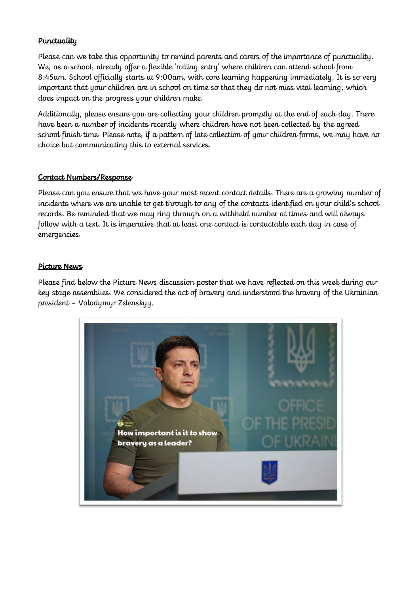## **Punctuality**

Please can we take this opportunity to remind parents and carers of the importance of punctuality. We, as a school, already offer a flexible 'rolling entry' where children can attend school from 8:45am. School officially starts at 9:00am, with core learning happening immediately. It is so very important that your children are in school on time so that they do not miss vital learning, which does impact on the progress your children make.

Additionally, please ensure you are collecting your children promptly at the end of each day. There have been a number of incidents recently where children have not been collected by the agreed school finish time. Please note, if a pattern of late collection of your children forms, we may have no choice but communicating this to external services.

#### Contact Numbers/Response

Please can you ensure that we have your most recent contact details. There are a growing number of incidents where we are unable to get through to any of the contacts identified on your child's school records. Be reminded that we may ring through on a withheld number at times and will always follow with a text. It is imperative that at least one contact is contactable each day in case of emergencies.

#### Picture News

Please find below the Picture News discussion poster that we have reflected on this week during our key stage assemblies. We considered the act of bravery and understood the bravery of the Ukrainian president – Volodymyr Zelenskyy.